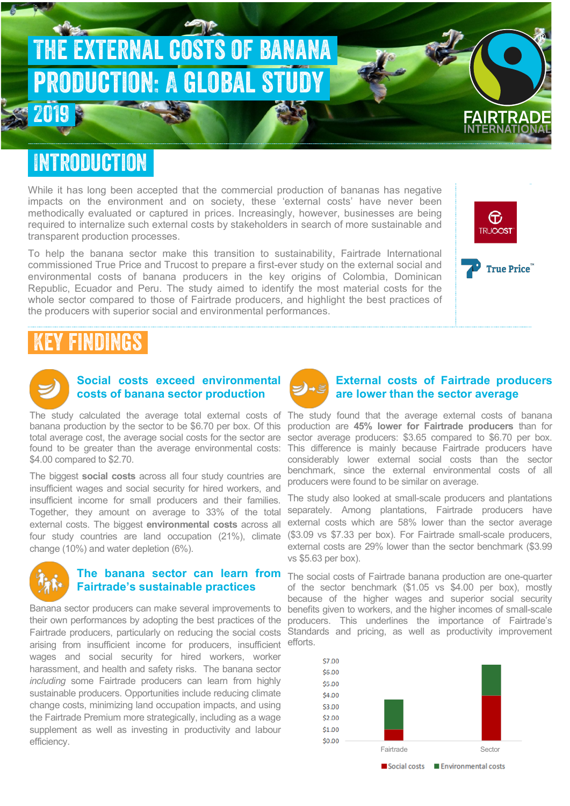

### Introduction

While it has long been accepted that the commercial production of bananas has negative impacts on the environment and on society, these 'external costs' have never been methodically evaluated or captured in prices. Increasingly, however, businesses are being required to internalize such external costs by stakeholders in search of more sustainable and transparent production processes.

To help the banana sector make this transition to sustainability, Fairtrade International commissioned True Price and Trucost to prepare a first-ever study on the external social and environmental costs of banana producers in the key origins of Colombia, Dominican Republic, Ecuador and Peru. The study aimed to identify the most material costs for the whole sector compared to those of Fairtrade producers, and highlight the best practices of the producers with superior social and environmental performances.



## Key findings



### **Social costs exceed environmental costs of banana sector production**

The study calculated the average total external costs of The study found that the average external costs of banana total average cost, the average social costs for the sector are \$4.00 compared to \$2.70.

The biggest **social costs** across all four study countries are insufficient wages and social security for hired workers, and insufficient income for small producers and their families. Together, they amount on average to 33% of the total external costs. The biggest **environmental costs** across all four study countries are land occupation (21%), climate change (10%) and water depletion (6%).



#### **The banana sector can learn from Fairtrade's sustainable practices**

Banana sector producers can make several improvements to their own performances by adopting the best practices of the arising from insufficient income for producers, insufficient wages and social security for hired workers, worker harassment, and health and safety risks. The banana sector *including* some Fairtrade producers can learn from highly sustainable producers. Opportunities include reducing climate change costs, minimizing land occupation impacts, and using the Fairtrade Premium more strategically, including as a wage supplement as well as investing in productivity and labour efficiency.



#### **External costs of Fairtrade producers are lower than the sector average**

banana production by the sector to be \$6.70 per box. Of this production are **45% lower for Fairtrade producers** than for found to be greater than the average environmental costs: This difference is mainly because Fairtrade producers have sector average producers: \$3.65 compared to \$6.70 per box. considerably lower external social costs than the sector benchmark, since the external environmental costs of all producers were found to be similar on average.

> The study also looked at small-scale producers and plantations separately. Among plantations, Fairtrade producers have external costs which are 58% lower than the sector average (\$3.09 vs \$7.33 per box). For Fairtrade small-scale producers, external costs are 29% lower than the sector benchmark (\$3.99 vs \$5.63 per box).

Fairtrade producers, particularly on reducing the social costs Standards and pricing, as well as productivity improvement The social costs of Fairtrade banana production are one-quarter of the sector benchmark (\$1.05 vs \$4.00 per box), mostly because of the higher wages and superior social security benefits given to workers, and the higher incomes of small-scale producers. This underlines the importance of Fairtrade's efforts.